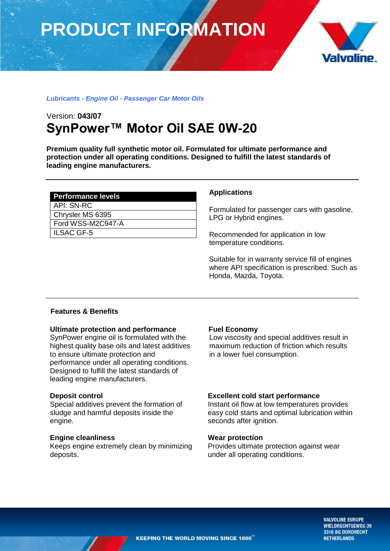# **PRODUCT INFORMATION**



## *Lubricants - Engine Oil - Passenger Car Motor Oils*

# Version: **043/07 SynPower™ Motor Oil SAE 0W-20**

**Premium quality full synthetic motor oil. Formulated for ultimate performance and protection under all operating conditions. Designed to fulfill the latest standards of leading engine manufacturers.** 

| <b>Performance levels</b> |
|---------------------------|
| API: SN-RC                |
| Chrysler MS 6395          |
| l Ford WSS-M2C947-A       |
| l ILSAC GF-5              |

#### **Applications**

Formulated for passenger cars with gasoline, LPG or Hybrid engines.

Recommended for application in low temperature conditions.

Suitable for in warranty service fill of engines where API specification is prescribed. Such as Honda, Mazda, Toyota.

# **Features & Benefits**

#### **Ultimate protection and performance**

SynPower engine oil is formulated with the highest quality base oils and latest additives to ensure ultimate protection and performance under all operating conditions. Designed to fulfill the latest standards of leading engine manufacturers.

#### **Deposit control**

Special additives prevent the formation of sludge and harmful deposits inside the engine.

#### **Engine cleanliness**

Keeps engine extremely clean by minimizing deposits.

#### **Fuel Economy**

Low viscosity and special additives result in maximum reduction of friction which results in a lower fuel consumption.

#### **Excellent cold start performance**

Instant oil flow at low temperatures provides easy cold starts and optimal lubrication within seconds after ignition.

### **Wear protection**

Provides ultimate protection against wear under all operating conditions.

> **VALVOLINE EUROPE WIELDRECHTSEWEG 39** 3316 BG DORDRECHT **NETHERLANDS**